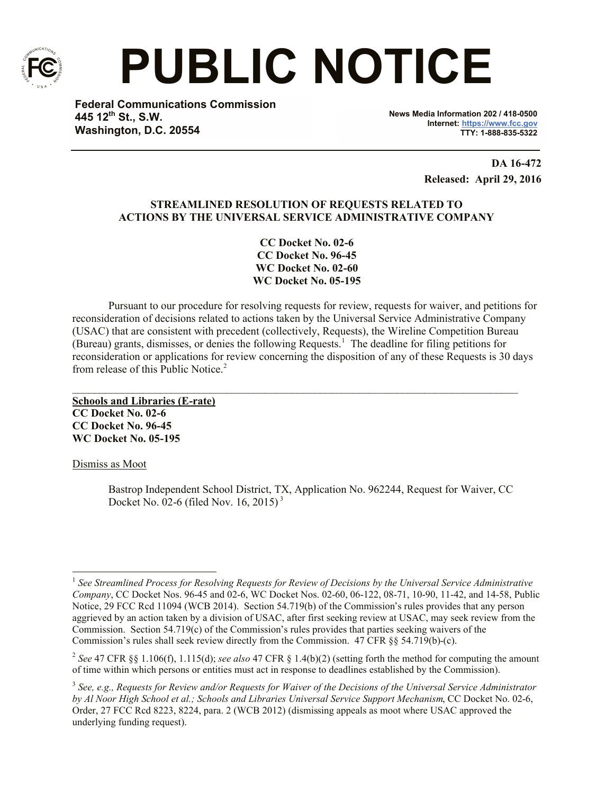

# **PUBLIC NOTICE**

**Federal Communications Commission 445 12th St., S.W. Washington, D.C. 20554**

**News Media Information 202 / 418-0500 Internet: https://www.fcc.gov TTY: 1-888-835-5322**

> **DA 16-472 Released: April 29, 2016**

# **STREAMLINED RESOLUTION OF REQUESTS RELATED TO ACTIONS BY THE UNIVERSAL SERVICE ADMINISTRATIVE COMPANY**

**CC Docket No. 02-6 CC Docket No. 96-45 WC Docket No. 02-60 WC Docket No. 05-195**

Pursuant to our procedure for resolving requests for review, requests for waiver, and petitions for reconsideration of decisions related to actions taken by the Universal Service Administrative Company (USAC) that are consistent with precedent (collectively, Requests), the Wireline Competition Bureau (Bureau) grants, dismisses, or denies the following Requests.<sup>1</sup> The deadline for filing petitions for reconsideration or applications for review concerning the disposition of any of these Requests is 30 days from release of this Public Notice<sup>2</sup>

 $\mathcal{L}_\mathcal{L} = \mathcal{L}_\mathcal{L} = \mathcal{L}_\mathcal{L} = \mathcal{L}_\mathcal{L} = \mathcal{L}_\mathcal{L} = \mathcal{L}_\mathcal{L} = \mathcal{L}_\mathcal{L} = \mathcal{L}_\mathcal{L} = \mathcal{L}_\mathcal{L} = \mathcal{L}_\mathcal{L} = \mathcal{L}_\mathcal{L} = \mathcal{L}_\mathcal{L} = \mathcal{L}_\mathcal{L} = \mathcal{L}_\mathcal{L} = \mathcal{L}_\mathcal{L} = \mathcal{L}_\mathcal{L} = \mathcal{L}_\mathcal{L}$ 

**Schools and Libraries (E-rate) CC Docket No. 02-6 CC Docket No. 96-45 WC Docket No. 05-195**

Dismiss as Moot

Bastrop Independent School District, TX, Application No. 962244, Request for Waiver, CC Docket No. 02-6 (filed Nov. 16, 2015) <sup>3</sup>

l <sup>1</sup> See Streamlined Process for Resolving Requests for Review of Decisions by the Universal Service Administrative *Company*, CC Docket Nos. 96-45 and 02-6, WC Docket Nos. 02-60, 06-122, 08-71, 10-90, 11-42, and 14-58, Public Notice, 29 FCC Rcd 11094 (WCB 2014). Section 54.719(b) of the Commission's rules provides that any person aggrieved by an action taken by a division of USAC, after first seeking review at USAC, may seek review from the Commission. Section 54.719(c) of the Commission's rules provides that parties seeking waivers of the Commission's rules shall seek review directly from the Commission. 47 CFR §§ 54.719(b)-(c).

<sup>2</sup> *See* 47 CFR §§ 1.106(f), 1.115(d); *see also* 47 CFR § 1.4(b)(2) (setting forth the method for computing the amount of time within which persons or entities must act in response to deadlines established by the Commission).

<sup>&</sup>lt;sup>3</sup> See, e.g., Requests for Review and/or Requests for Waiver of the Decisions of the Universal Service Administrator *by Al Noor High School et al.; Schools and Libraries Universal Service Support Mechanism*, CC Docket No. 02-6, Order, 27 FCC Rcd 8223, 8224, para. 2 (WCB 2012) (dismissing appeals as moot where USAC approved the underlying funding request).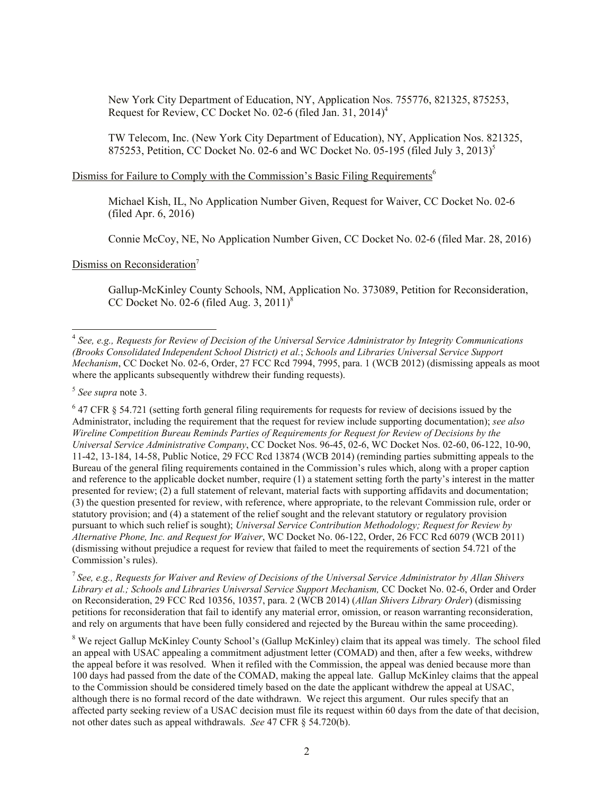New York City Department of Education, NY, Application Nos. 755776, 821325, 875253, Request for Review, CC Docket No. 02-6 (filed Jan. 31, 2014)<sup>4</sup>

TW Telecom, Inc. (New York City Department of Education), NY, Application Nos. 821325, 875253, Petition, CC Docket No. 02-6 and WC Docket No. 05-195 (filed July 3, 2013)<sup>5</sup>

# Dismiss for Failure to Comply with the Commission's Basic Filing Requirements<sup>6</sup>

Michael Kish, IL, No Application Number Given, Request for Waiver, CC Docket No. 02-6 (filed Apr. 6, 2016)

Connie McCoy, NE, No Application Number Given, CC Docket No. 02-6 (filed Mar. 28, 2016)

Dismiss on Reconsideration<sup>7</sup>

Gallup-McKinley County Schools, NM, Application No. 373089, Petition for Reconsideration, CC Docket No. 02-6 (filed Aug. 3,  $2011$ )<sup>8</sup>

7 *See, e.g., Requests for Waiver and Review of Decisions of the Universal Service Administrator by Allan Shivers Library et al.; Schools and Libraries Universal Service Support Mechanism,* CC Docket No. 02-6, Order and Order on Reconsideration, 29 FCC Rcd 10356, 10357, para. 2 (WCB 2014) (*Allan Shivers Library Order*) (dismissing petitions for reconsideration that fail to identify any material error, omission, or reason warranting reconsideration, and rely on arguments that have been fully considered and rejected by the Bureau within the same proceeding).

<sup>8</sup> We reject Gallup McKinley County School's (Gallup McKinley) claim that its appeal was timely. The school filed an appeal with USAC appealing a commitment adjustment letter (COMAD) and then, after a few weeks, withdrew the appeal before it was resolved. When it refiled with the Commission, the appeal was denied because more than 100 days had passed from the date of the COMAD, making the appeal late. Gallup McKinley claims that the appeal to the Commission should be considered timely based on the date the applicant withdrew the appeal at USAC, although there is no formal record of the date withdrawn. We reject this argument. Our rules specify that an affected party seeking review of a USAC decision must file its request within 60 days from the date of that decision, not other dates such as appeal withdrawals. *See* 47 CFR § 54.720(b).

 4 *See, e.g., Requests for Review of Decision of the Universal Service Administrator by Integrity Communications (Brooks Consolidated Independent School District) et al.*; *Schools and Libraries Universal Service Support Mechanism*, CC Docket No. 02-6, Order, 27 FCC Rcd 7994, 7995, para. 1 (WCB 2012) (dismissing appeals as moot where the applicants subsequently withdrew their funding requests).

<sup>5</sup> *See supra* note 3.

 $6$  47 CFR § 54.721 (setting forth general filing requirements for requests for review of decisions issued by the Administrator, including the requirement that the request for review include supporting documentation); *see also Wireline Competition Bureau Reminds Parties of Requirements for Request for Review of Decisions by the Universal Service Administrative Company*, CC Docket Nos. 96-45, 02-6, WC Docket Nos. 02-60, 06-122, 10-90, 11-42, 13-184, 14-58, Public Notice, 29 FCC Rcd 13874 (WCB 2014) (reminding parties submitting appeals to the Bureau of the general filing requirements contained in the Commission's rules which, along with a proper caption and reference to the applicable docket number, require (1) a statement setting forth the party's interest in the matter presented for review; (2) a full statement of relevant, material facts with supporting affidavits and documentation; (3) the question presented for review, with reference, where appropriate, to the relevant Commission rule, order or statutory provision; and (4) a statement of the relief sought and the relevant statutory or regulatory provision pursuant to which such relief is sought); *Universal Service Contribution Methodology; Request for Review by Alternative Phone, Inc. and Request for Waiver*, WC Docket No. 06-122, Order, 26 FCC Rcd 6079 (WCB 2011) (dismissing without prejudice a request for review that failed to meet the requirements of section 54.721 of the Commission's rules).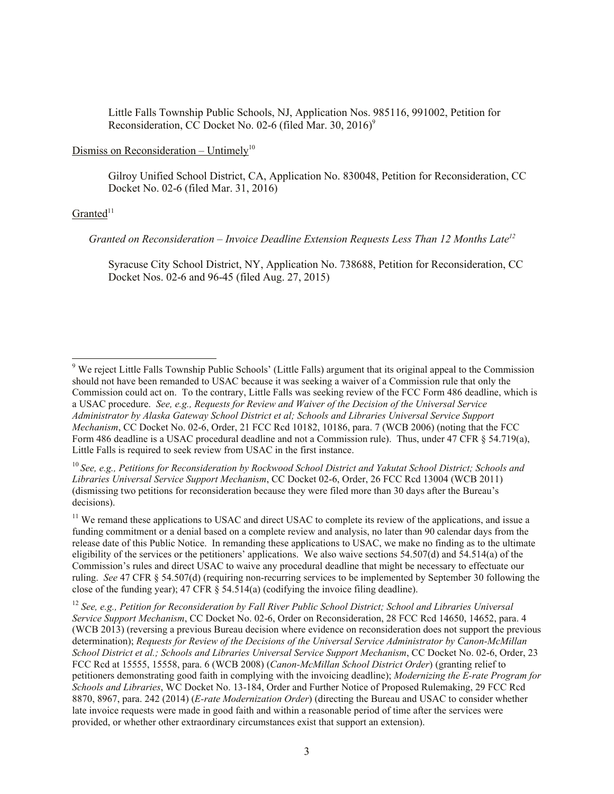Little Falls Township Public Schools, NJ, Application Nos. 985116, 991002, Petition for Reconsideration, CC Docket No. 02-6 (filed Mar. 30, 2016) $^9$ 

## Dismiss on Reconsideration - Untimely<sup>10</sup>

Gilroy Unified School District, CA, Application No. 830048, Petition for Reconsideration, CC Docket No. 02-6 (filed Mar. 31, 2016)

#### $Granted<sup>11</sup>$

l

 *Granted on Reconsideration – Invoice Deadline Extension Requests Less Than 12 Months Late<sup>12</sup>*

Syracuse City School District, NY, Application No. 738688, Petition for Reconsideration, CC Docket Nos. 02-6 and 96-45 (filed Aug. 27, 2015)

<sup>10</sup> *See, e.g., Petitions for Reconsideration by Rockwood School District and Yakutat School District; Schools and Libraries Universal Service Support Mechanism*, CC Docket 02-6, Order, 26 FCC Rcd 13004 (WCB 2011) (dismissing two petitions for reconsideration because they were filed more than 30 days after the Bureau's decisions).

<sup>11</sup> We remand these applications to USAC and direct USAC to complete its review of the applications, and issue a funding commitment or a denial based on a complete review and analysis, no later than 90 calendar days from the release date of this Public Notice. In remanding these applications to USAC, we make no finding as to the ultimate eligibility of the services or the petitioners' applications. We also waive sections 54.507(d) and 54.514(a) of the Commission's rules and direct USAC to waive any procedural deadline that might be necessary to effectuate our ruling. *See* 47 CFR § 54.507(d) (requiring non-recurring services to be implemented by September 30 following the close of the funding year); 47 CFR § 54.514(a) (codifying the invoice filing deadline).

<sup>12</sup> See, e.g., Petition for Reconsideration by Fall River Public School District; School and Libraries Universal *Service Support Mechanism*, CC Docket No. 02-6, Order on Reconsideration, 28 FCC Rcd 14650, 14652, para. 4 (WCB 2013) (reversing a previous Bureau decision where evidence on reconsideration does not support the previous determination); *Requests for Review of the Decisions of the Universal Service Administrator by Canon-McMillan School District et al.; Schools and Libraries Universal Service Support Mechanism*, CC Docket No. 02-6, Order, 23 FCC Rcd at 15555, 15558, para. 6 (WCB 2008) (*Canon-McMillan School District Order*) (granting relief to petitioners demonstrating good faith in complying with the invoicing deadline); *Modernizing the E-rate Program for Schools and Libraries*, WC Docket No. 13-184, Order and Further Notice of Proposed Rulemaking, 29 FCC Rcd 8870, 8967, para. 242 (2014) (*E-rate Modernization Order*) (directing the Bureau and USAC to consider whether late invoice requests were made in good faith and within a reasonable period of time after the services were provided, or whether other extraordinary circumstances exist that support an extension).

 $9$  We reject Little Falls Township Public Schools' (Little Falls) argument that its original appeal to the Commission should not have been remanded to USAC because it was seeking a waiver of a Commission rule that only the Commission could act on. To the contrary, Little Falls was seeking review of the FCC Form 486 deadline, which is a USAC procedure. *See, e.g., Requests for Review and Waiver of the Decision of the Universal Service Administrator by Alaska Gateway School District et al; Schools and Libraries Universal Service Support Mechanism*, CC Docket No. 02-6, Order, 21 FCC Rcd 10182, 10186, para. 7 (WCB 2006) (noting that the FCC Form 486 deadline is a USAC procedural deadline and not a Commission rule). Thus, under 47 CFR § 54.719(a), Little Falls is required to seek review from USAC in the first instance.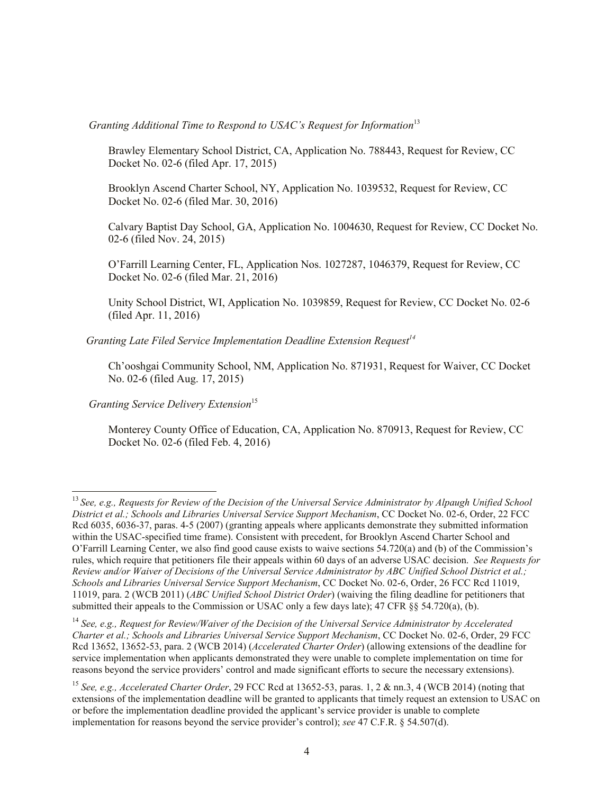*Granting Additional Time to Respond to USAC's Request for Information*<sup>13</sup>

Brawley Elementary School District, CA, Application No. 788443, Request for Review, CC Docket No. 02-6 (filed Apr. 17, 2015)

Brooklyn Ascend Charter School, NY, Application No. 1039532, Request for Review, CC Docket No. 02-6 (filed Mar. 30, 2016)

Calvary Baptist Day School, GA, Application No. 1004630, Request for Review, CC Docket No. 02-6 (filed Nov. 24, 2015)

O'Farrill Learning Center, FL, Application Nos. 1027287, 1046379, Request for Review, CC Docket No. 02-6 (filed Mar. 21, 2016)

Unity School District, WI, Application No. 1039859, Request for Review, CC Docket No. 02-6 (filed Apr. 11, 2016)

 *Granting Late Filed Service Implementation Deadline Extension Request<sup>14</sup>*

Ch'ooshgai Community School, NM, Application No. 871931, Request for Waiver, CC Docket No. 02-6 (filed Aug. 17, 2015)

*Granting Service Delivery Extension*<sup>15</sup>

l

Monterey County Office of Education, CA, Application No. 870913, Request for Review, CC Docket No. 02-6 (filed Feb. 4, 2016)

<sup>13</sup> *See, e.g., Requests for Review of the Decision of the Universal Service Administrator by Alpaugh Unified School District et al.; Schools and Libraries Universal Service Support Mechanism*, CC Docket No. 02-6, Order, 22 FCC Rcd 6035, 6036-37, paras. 4-5 (2007) (granting appeals where applicants demonstrate they submitted information within the USAC-specified time frame). Consistent with precedent, for Brooklyn Ascend Charter School and O'Farrill Learning Center, we also find good cause exists to waive sections 54.720(a) and (b) of the Commission's rules, which require that petitioners file their appeals within 60 days of an adverse USAC decision. *See Requests for Review and/or Waiver of Decisions of the Universal Service Administrator by ABC Unified School District et al.; Schools and Libraries Universal Service Support Mechanism*, CC Docket No. 02-6, Order, 26 FCC Rcd 11019, 11019, para. 2 (WCB 2011) (*ABC Unified School District Order*) (waiving the filing deadline for petitioners that submitted their appeals to the Commission or USAC only a few days late); 47 CFR §§ 54.720(a), (b).

<sup>14</sup> *See, e.g., Request for Review/Waiver of the Decision of the Universal Service Administrator by Accelerated Charter et al.; Schools and Libraries Universal Service Support Mechanism*, CC Docket No. 02-6, Order, 29 FCC Rcd 13652, 13652-53, para. 2 (WCB 2014) (*Accelerated Charter Order*) (allowing extensions of the deadline for service implementation when applicants demonstrated they were unable to complete implementation on time for reasons beyond the service providers' control and made significant efforts to secure the necessary extensions).

<sup>15</sup> *See, e.g., Accelerated Charter Order*, 29 FCC Rcd at 13652-53, paras. 1, 2 & nn.3, 4 (WCB 2014) (noting that extensions of the implementation deadline will be granted to applicants that timely request an extension to USAC on or before the implementation deadline provided the applicant's service provider is unable to complete implementation for reasons beyond the service provider's control); *see* 47 C.F.R. § 54.507(d).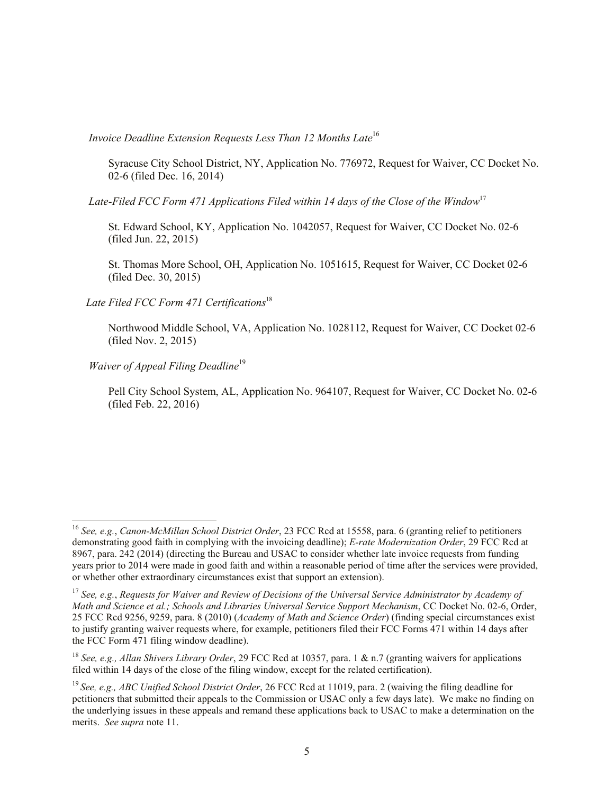*Invoice Deadline Extension Requests Less Than 12 Months Late***<sup>16</sup>** 

Syracuse City School District, NY, Application No. 776972, Request for Waiver, CC Docket No. 02-6 (filed Dec. 16, 2014)

*Late-Filed FCC Form 471 Applications Filed within 14 days of the Close of the Window*<sup>17</sup>

St. Edward School, KY, Application No. 1042057, Request for Waiver, CC Docket No. 02-6 (filed Jun. 22, 2015)

St. Thomas More School, OH, Application No. 1051615, Request for Waiver, CC Docket 02-6 (filed Dec. 30, 2015)

 *Late Filed FCC Form 471 Certifications*<sup>18</sup>

Northwood Middle School, VA, Application No. 1028112, Request for Waiver, CC Docket 02-6 (filed Nov. 2, 2015)

*Waiver of Appeal Filing Deadline*<sup>19</sup>

l

Pell City School System, AL, Application No. 964107, Request for Waiver, CC Docket No. 02-6 (filed Feb. 22, 2016)

<sup>16</sup> *See, e.g.*, *Canon-McMillan School District Order*, 23 FCC Rcd at 15558, para. 6 (granting relief to petitioners demonstrating good faith in complying with the invoicing deadline); *E-rate Modernization Order*, 29 FCC Rcd at 8967, para. 242 (2014) (directing the Bureau and USAC to consider whether late invoice requests from funding years prior to 2014 were made in good faith and within a reasonable period of time after the services were provided, or whether other extraordinary circumstances exist that support an extension).

<sup>17</sup> *See, e.g.*, *Requests for Waiver and Review of Decisions of the Universal Service Administrator by Academy of Math and Science et al.; Schools and Libraries Universal Service Support Mechanism*, CC Docket No. 02-6, Order, 25 FCC Rcd 9256, 9259, para. 8 (2010) (*Academy of Math and Science Order*) (finding special circumstances exist to justify granting waiver requests where, for example, petitioners filed their FCC Forms 471 within 14 days after the FCC Form 471 filing window deadline).

<sup>18</sup> *See, e.g., Allan Shivers Library Order*, 29 FCC Rcd at 10357, para. 1 & n.7 (granting waivers for applications filed within 14 days of the close of the filing window, except for the related certification).

<sup>19</sup> *See, e.g., ABC Unified School District Order*, 26 FCC Rcd at 11019, para. 2 (waiving the filing deadline for petitioners that submitted their appeals to the Commission or USAC only a few days late). We make no finding on the underlying issues in these appeals and remand these applications back to USAC to make a determination on the merits. *See supra* note 11.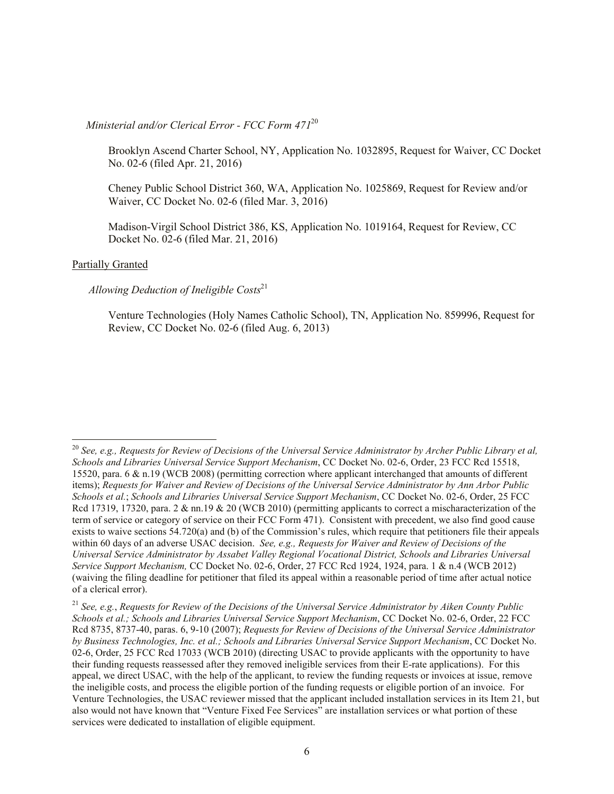### *Ministerial and/or Clerical Error - FCC Form 471*<sup>20</sup>

Brooklyn Ascend Charter School, NY, Application No. 1032895, Request for Waiver, CC Docket No. 02-6 (filed Apr. 21, 2016)

Cheney Public School District 360, WA, Application No. 1025869, Request for Review and/or Waiver, CC Docket No. 02-6 (filed Mar. 3, 2016)

Madison-Virgil School District 386, KS, Application No. 1019164, Request for Review, CC Docket No. 02-6 (filed Mar. 21, 2016)

#### Partially Granted

l

#### *Allowing Deduction of Ineligible Costs*<sup>21</sup>

Venture Technologies (Holy Names Catholic School), TN, Application No. 859996, Request for Review, CC Docket No. 02-6 (filed Aug. 6, 2013)

<sup>&</sup>lt;sup>20</sup> See, e.g., Requests for Review of Decisions of the Universal Service Administrator by Archer Public Library et al, *Schools and Libraries Universal Service Support Mechanism*, CC Docket No. 02-6, Order, 23 FCC Rcd 15518, 15520, para. 6 & n.19 (WCB 2008) (permitting correction where applicant interchanged that amounts of different items); *Requests for Waiver and Review of Decisions of the Universal Service Administrator by Ann Arbor Public Schools et al.*; *Schools and Libraries Universal Service Support Mechanism*, CC Docket No. 02-6, Order, 25 FCC Rcd 17319, 17320, para. 2 & nn.19 & 20 (WCB 2010) (permitting applicants to correct a mischaracterization of the term of service or category of service on their FCC Form 471). Consistent with precedent, we also find good cause exists to waive sections 54.720(a) and (b) of the Commission's rules, which require that petitioners file their appeals within 60 days of an adverse USAC decision. *See, e.g., Requests for Waiver and Review of Decisions of the Universal Service Administrator by Assabet Valley Regional Vocational District, Schools and Libraries Universal Service Support Mechanism,* CC Docket No. 02-6, Order, 27 FCC Rcd 1924, 1924, para. 1 & n.4 (WCB 2012) (waiving the filing deadline for petitioner that filed its appeal within a reasonable period of time after actual notice of a clerical error).

<sup>21</sup> *See, e.g.*, *Requests for Review of the Decisions of the Universal Service Administrator by Aiken County Public Schools et al.; Schools and Libraries Universal Service Support Mechanism*, CC Docket No. 02-6, Order, 22 FCC Rcd 8735, 8737-40, paras. 6, 9-10 (2007); *Requests for Review of Decisions of the Universal Service Administrator by Business Technologies, Inc. et al.; Schools and Libraries Universal Service Support Mechanism*, CC Docket No. 02-6, Order, 25 FCC Rcd 17033 (WCB 2010) (directing USAC to provide applicants with the opportunity to have their funding requests reassessed after they removed ineligible services from their E-rate applications). For this appeal, we direct USAC, with the help of the applicant, to review the funding requests or invoices at issue, remove the ineligible costs, and process the eligible portion of the funding requests or eligible portion of an invoice. For Venture Technologies, the USAC reviewer missed that the applicant included installation services in its Item 21, but also would not have known that "Venture Fixed Fee Services" are installation services or what portion of these services were dedicated to installation of eligible equipment.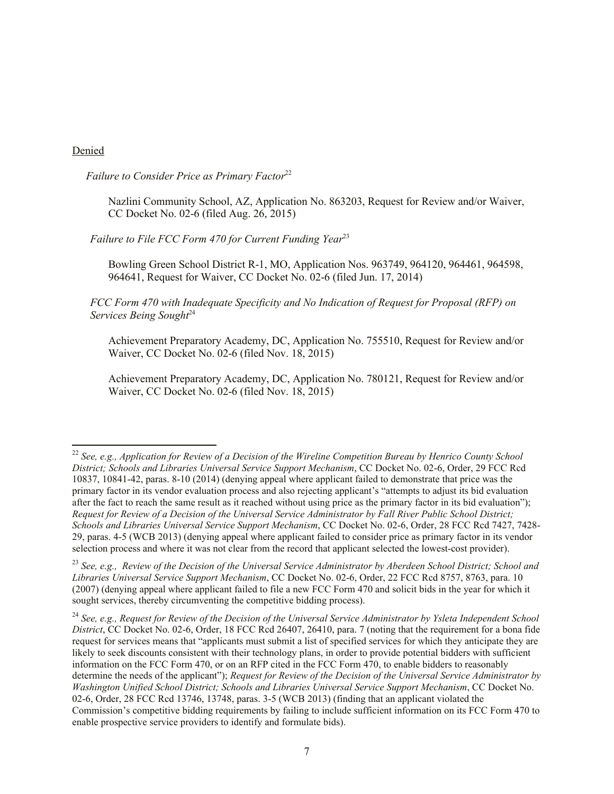#### Denied

l

*Failure to Consider Price as Primary Factor*<sup>22</sup>

Nazlini Community School, AZ, Application No. 863203, Request for Review and/or Waiver, CC Docket No. 02-6 (filed Aug. 26, 2015)

*Failure to File FCC Form 470 for Current Funding Year*<sup>23</sup>

Bowling Green School District R-1, MO, Application Nos. 963749, 964120, 964461, 964598, 964641, Request for Waiver, CC Docket No. 02-6 (filed Jun. 17, 2014)

*FCC Form 470 with Inadequate Specificity and No Indication of Request for Proposal (RFP) on Services Being Sought*<sup>24</sup>

Achievement Preparatory Academy, DC, Application No. 755510, Request for Review and/or Waiver, CC Docket No. 02-6 (filed Nov. 18, 2015)

Achievement Preparatory Academy, DC, Application No. 780121, Request for Review and/or Waiver, CC Docket No. 02-6 (filed Nov. 18, 2015)

<sup>&</sup>lt;sup>22</sup> See, e.g., Application for Review of a Decision of the Wireline Competition Bureau by Henrico County School *District; Schools and Libraries Universal Service Support Mechanism*, CC Docket No. 02-6, Order, 29 FCC Rcd 10837, 10841-42, paras. 8-10 (2014) (denying appeal where applicant failed to demonstrate that price was the primary factor in its vendor evaluation process and also rejecting applicant's "attempts to adjust its bid evaluation after the fact to reach the same result as it reached without using price as the primary factor in its bid evaluation"); *Request for Review of a Decision of the Universal Service Administrator by Fall River Public School District; Schools and Libraries Universal Service Support Mechanism*, CC Docket No. 02-6, Order, 28 FCC Rcd 7427, 7428- 29, paras. 4-5 (WCB 2013) (denying appeal where applicant failed to consider price as primary factor in its vendor selection process and where it was not clear from the record that applicant selected the lowest-cost provider).

<sup>23</sup> *See, e.g., Review of the Decision of the Universal Service Administrator by Aberdeen School District; School and Libraries Universal Service Support Mechanism*, CC Docket No. 02-6, Order, 22 FCC Rcd 8757, 8763, para. 10 (2007) (denying appeal where applicant failed to file a new FCC Form 470 and solicit bids in the year for which it sought services, thereby circumventing the competitive bidding process).

<sup>24</sup> *See, e.g., Request for Review of the Decision of the Universal Service Administrator by Ysleta Independent School District*, CC Docket No. 02-6, Order, 18 FCC Rcd 26407, 26410, para. 7 (noting that the requirement for a bona fide request for services means that "applicants must submit a list of specified services for which they anticipate they are likely to seek discounts consistent with their technology plans, in order to provide potential bidders with sufficient information on the FCC Form 470, or on an RFP cited in the FCC Form 470, to enable bidders to reasonably determine the needs of the applicant"); *Request for Review of the Decision of the Universal Service Administrator by Washington Unified School District; Schools and Libraries Universal Service Support Mechanism*, CC Docket No. 02-6, Order, 28 FCC Rcd 13746, 13748, paras. 3-5 (WCB 2013) (finding that an applicant violated the Commission's competitive bidding requirements by failing to include sufficient information on its FCC Form 470 to enable prospective service providers to identify and formulate bids).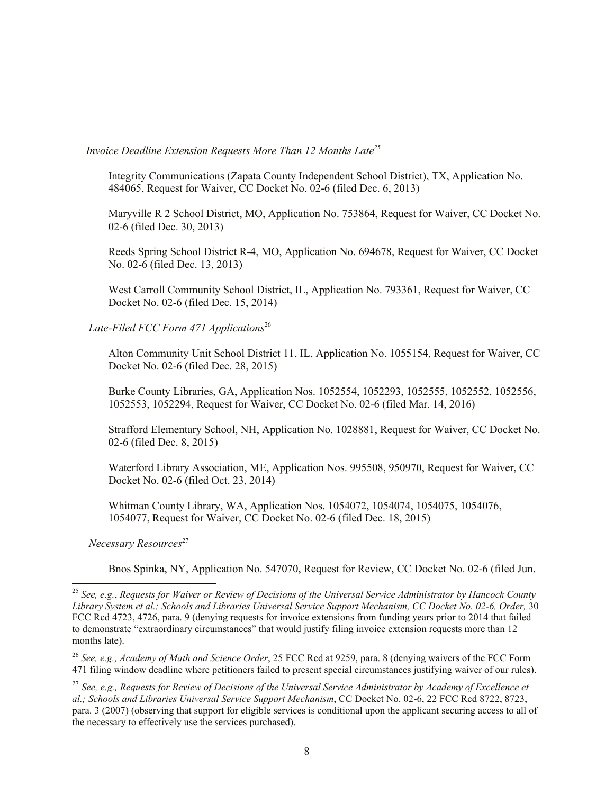# *Invoice Deadline Extension Requests More Than 12 Months Late<sup>25</sup>*

Integrity Communications (Zapata County Independent School District), TX, Application No. 484065, Request for Waiver, CC Docket No. 02-6 (filed Dec. 6, 2013)

Maryville R 2 School District, MO, Application No. 753864, Request for Waiver, CC Docket No. 02-6 (filed Dec. 30, 2013)

Reeds Spring School District R-4, MO, Application No. 694678, Request for Waiver, CC Docket No. 02-6 (filed Dec. 13, 2013)

West Carroll Community School District, IL, Application No. 793361, Request for Waiver, CC Docket No. 02-6 (filed Dec. 15, 2014)

# Late-Filed FCC Form 471 Applications<sup>26</sup>

Alton Community Unit School District 11, IL, Application No. 1055154, Request for Waiver, CC Docket No. 02-6 (filed Dec. 28, 2015)

Burke County Libraries, GA, Application Nos. 1052554, 1052293, 1052555, 1052552, 1052556, 1052553, 1052294, Request for Waiver, CC Docket No. 02-6 (filed Mar. 14, 2016)

Strafford Elementary School, NH, Application No. 1028881, Request for Waiver, CC Docket No. 02-6 (filed Dec. 8, 2015)

Waterford Library Association, ME, Application Nos. 995508, 950970, Request for Waiver, CC Docket No. 02-6 (filed Oct. 23, 2014)

Whitman County Library, WA, Application Nos. 1054072, 1054074, 1054075, 1054076, 1054077, Request for Waiver, CC Docket No. 02-6 (filed Dec. 18, 2015)

 *Necessary Resources*<sup>27</sup>

l

Bnos Spinka, NY, Application No. 547070, Request for Review, CC Docket No. 02-6 (filed Jun.

<sup>25</sup> *See, e.g.*, *Requests for Waiver or Review of Decisions of the Universal Service Administrator by Hancock County Library System et al.; Schools and Libraries Universal Service Support Mechanism, CC Docket No. 02-6, Order,* 30 FCC Rcd 4723, 4726, para. 9 (denying requests for invoice extensions from funding years prior to 2014 that failed to demonstrate "extraordinary circumstances" that would justify filing invoice extension requests more than 12 months late).

<sup>26</sup> *See, e.g., Academy of Math and Science Order*, 25 FCC Rcd at 9259, para. 8 (denying waivers of the FCC Form 471 filing window deadline where petitioners failed to present special circumstances justifying waiver of our rules).

<sup>27</sup> *See, e.g., Requests for Review of Decisions of the Universal Service Administrator by Academy of Excellence et al.; Schools and Libraries Universal Service Support Mechanism*, CC Docket No. 02-6, 22 FCC Rcd 8722, 8723, para. 3 (2007) (observing that support for eligible services is conditional upon the applicant securing access to all of the necessary to effectively use the services purchased).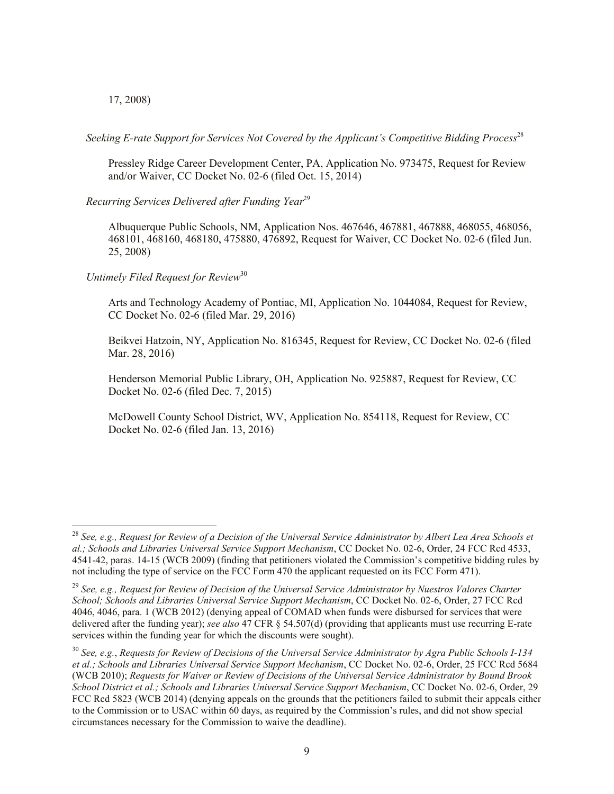17, 2008)

l

 *Seeking E-rate Support for Services Not Covered by the Applicant's Competitive Bidding Process*<sup>28</sup>

Pressley Ridge Career Development Center, PA, Application No. 973475, Request for Review and/or Waiver, CC Docket No. 02-6 (filed Oct. 15, 2014)

 *Recurring Services Delivered after Funding Year*<sup>29</sup>

Albuquerque Public Schools, NM, Application Nos. 467646, 467881, 467888, 468055, 468056, 468101, 468160, 468180, 475880, 476892, Request for Waiver, CC Docket No. 02-6 (filed Jun. 25, 2008)

 *Untimely Filed Request for Review*<sup>30</sup>

Arts and Technology Academy of Pontiac, MI, Application No. 1044084, Request for Review, CC Docket No. 02-6 (filed Mar. 29, 2016)

Beikvei Hatzoin, NY, Application No. 816345, Request for Review, CC Docket No. 02-6 (filed Mar. 28, 2016)

Henderson Memorial Public Library, OH, Application No. 925887, Request for Review, CC Docket No. 02-6 (filed Dec. 7, 2015)

McDowell County School District, WV, Application No. 854118, Request for Review, CC Docket No. 02-6 (filed Jan. 13, 2016)

<sup>28</sup> *See, e.g., Request for Review of a Decision of the Universal Service Administrator by Albert Lea Area Schools et al.; Schools and Libraries Universal Service Support Mechanism*, CC Docket No. 02-6, Order, 24 FCC Rcd 4533, 4541-42, paras. 14-15 (WCB 2009) (finding that petitioners violated the Commission's competitive bidding rules by not including the type of service on the FCC Form 470 the applicant requested on its FCC Form 471).

<sup>29</sup> *See, e.g., Request for Review of Decision of the Universal Service Administrator by Nuestros Valores Charter School; Schools and Libraries Universal Service Support Mechanism*, CC Docket No. 02-6, Order, 27 FCC Rcd 4046, 4046, para. 1 (WCB 2012) (denying appeal of COMAD when funds were disbursed for services that were delivered after the funding year); *see also* 47 CFR § 54.507(d) (providing that applicants must use recurring E-rate services within the funding year for which the discounts were sought).

<sup>30</sup> *See, e.g.*, *Requests for Review of Decisions of the Universal Service Administrator by Agra Public Schools I-134 et al.; Schools and Libraries Universal Service Support Mechanism*, CC Docket No. 02-6, Order, 25 FCC Rcd 5684 (WCB 2010); *Requests for Waiver or Review of Decisions of the Universal Service Administrator by Bound Brook School District et al.; Schools and Libraries Universal Service Support Mechanism*, CC Docket No. 02-6, Order, 29 FCC Rcd 5823 (WCB 2014) (denying appeals on the grounds that the petitioners failed to submit their appeals either to the Commission or to USAC within 60 days, as required by the Commission's rules, and did not show special circumstances necessary for the Commission to waive the deadline).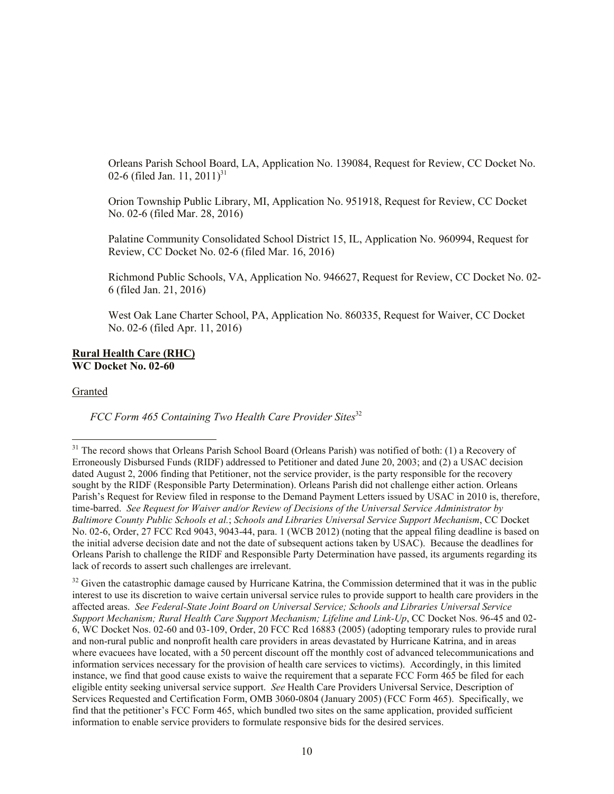Orleans Parish School Board, LA, Application No. 139084, Request for Review, CC Docket No. 02-6 (filed Jan. 11, 2011)<sup>31</sup>

Orion Township Public Library, MI, Application No. 951918, Request for Review, CC Docket No. 02-6 (filed Mar. 28, 2016)

Palatine Community Consolidated School District 15, IL, Application No. 960994, Request for Review, CC Docket No. 02-6 (filed Mar. 16, 2016)

Richmond Public Schools, VA, Application No. 946627, Request for Review, CC Docket No. 02- 6 (filed Jan. 21, 2016)

West Oak Lane Charter School, PA, Application No. 860335, Request for Waiver, CC Docket No. 02-6 (filed Apr. 11, 2016)

#### **Rural Health Care (RHC) WC Docket No. 02-60**

Granted

l

*FCC Form 465 Containing Two Health Care Provider Sites*<sup>32</sup>

<sup>&</sup>lt;sup>31</sup> The record shows that Orleans Parish School Board (Orleans Parish) was notified of both: (1) a Recovery of Erroneously Disbursed Funds (RIDF) addressed to Petitioner and dated June 20, 2003; and (2) a USAC decision dated August 2, 2006 finding that Petitioner, not the service provider, is the party responsible for the recovery sought by the RIDF (Responsible Party Determination). Orleans Parish did not challenge either action. Orleans Parish's Request for Review filed in response to the Demand Payment Letters issued by USAC in 2010 is, therefore, time-barred. *See Request for Waiver and/or Review of Decisions of the Universal Service Administrator by Baltimore County Public Schools et al.*; *Schools and Libraries Universal Service Support Mechanism*, CC Docket No. 02-6, Order, 27 FCC Rcd 9043, 9043-44, para. 1 (WCB 2012) (noting that the appeal filing deadline is based on the initial adverse decision date and not the date of subsequent actions taken by USAC). Because the deadlines for Orleans Parish to challenge the RIDF and Responsible Party Determination have passed, its arguments regarding its lack of records to assert such challenges are irrelevant.

<sup>&</sup>lt;sup>32</sup> Given the catastrophic damage caused by Hurricane Katrina, the Commission determined that it was in the public interest to use its discretion to waive certain universal service rules to provide support to health care providers in the affected areas. *See Federal-State Joint Board on Universal Service; Schools and Libraries Universal Service Support Mechanism; Rural Health Care Support Mechanism; Lifeline and Link-Up*, CC Docket Nos. 96-45 and 02- 6, WC Docket Nos. 02-60 and 03-109, Order, 20 FCC Rcd 16883 (2005) (adopting temporary rules to provide rural and non-rural public and nonprofit health care providers in areas devastated by Hurricane Katrina, and in areas where evacuees have located, with a 50 percent discount off the monthly cost of advanced telecommunications and information services necessary for the provision of health care services to victims). Accordingly, in this limited instance, we find that good cause exists to waive the requirement that a separate FCC Form 465 be filed for each eligible entity seeking universal service support. *See* Health Care Providers Universal Service, Description of Services Requested and Certification Form, OMB 3060-0804 (January 2005) (FCC Form 465). Specifically, we find that the petitioner's FCC Form 465, which bundled two sites on the same application, provided sufficient information to enable service providers to formulate responsive bids for the desired services.